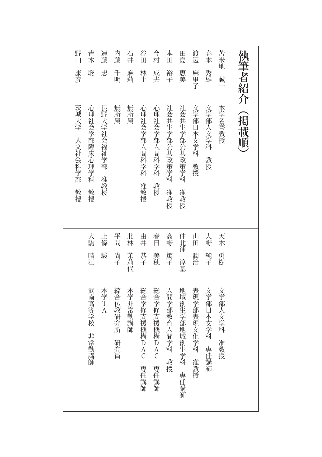|                                                    |         |    | 茨城大学<br>人文社会科学部<br>教授 | 康彦     | 野口  |
|----------------------------------------------------|---------|----|-----------------------|--------|-----|
|                                                    |         |    |                       |        |     |
| 武南高等学校<br>非常勤講師                                    | 晴江      | 大駒 | 心理社会学部臨床心理学科<br>教授    | 聡      | 青木  |
| 本学<br>T A                                          | 駿       | 上條 | 長野大学社会福祉学部<br>准教授     | 忠      | 遠藤  |
| 綜合仏教研究所<br>研究員                                     | 尚子      | 平間 | 無所<br>属               | 千<br>明 | 内藤  |
| 本学非常勤講師                                            | 茉莉代     | 北林 | 無所属                   | 麻莉     | 石井  |
| 総合学修支援機構D<br>Ā<br>C<br>専任講師                        | 恭子      | 由井 | 心理社会学部人間科学科<br>准教授    | 林士     | 谷田  |
| 総合学修支援機構<br>$\dddot{\mathbf{D}}$<br>A<br>C<br>専任講師 | 美穂      | 春日 | 心理社会学部<br>人間科学科<br>教授 | 成夫     | 今村  |
| 人間学部教育人間学科<br>教授                                   | 篤子      | 高野 | 社会共生学部公共政策学科<br>准教授   | 裕子     | 本田  |
| 地域創生学部地域創生学科<br>専任<br>講<br>師                       | 浦<br>淳基 | 仲北 | 社会共生学部公共政策学科<br>准教授   | 恵美     | 田島  |
| 表現学部表現文化学科<br>准教授                                  | 潤治      | 山田 | 文学部日本文学科<br>教授        | 麻里子    | 渡辺  |
| 文学部日本文学科<br>専任<br>講講<br>師                          | 純子      | 大野 | 文学部人文学科<br>教授         | 秀雄     | 春本  |
| 文学部人文学科<br>准教授                                     | 勇樹      | 天木 | 本学名誉教授                | 誠      | 苫米地 |
|                                                    |         |    | 掲載順                   | 執筆者紹介  |     |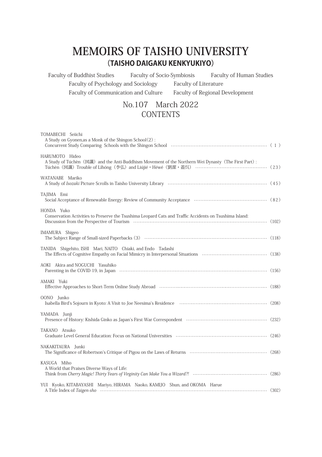## **MEMOIRS OF TAISHO UNIVERSITY (TAISHO DAIGAKU KENKYUKIYO)**

Faculty of Buddhist Studies Faculty of Socio-Symbiosis Faculty of Human Studies Faculty of Psychology and Sociology Faculty of Literature Faculty of Communication and Culture Faculty of Regional Development

## No.107 March 2022 **CONTENTS**

| TOMABECHI Seiichi<br>A Study on Gyonen, as a Monk of the Shingon School(2):<br>Concurrent Study Comparing Schools with the Shingon School (2000) (2000) (2000) (2000) (2000) (2000) (2000) (2000) (2000) (2000) (2000) (2000) (2000) (2000) (2000) (2000) (2000) (2000) (2000) (2000) (2000) (2000) (2000) (2 |  |
|---------------------------------------------------------------------------------------------------------------------------------------------------------------------------------------------------------------------------------------------------------------------------------------------------------------|--|
| HARUMOTO Hideo<br>A Study of Túchèn (図讖) and the Anti-Buddhism Movement of the Northern Wei Dynasty (The First Part):<br>Túchèn (図讖) Trouble of Lihóng (李弘) and Liújié · Héwé (劉潔 · 蓋呉) ………………………………………… (23)                                                                                                 |  |
| WATANABE Mariko                                                                                                                                                                                                                                                                                               |  |
| TAJIMA Emi                                                                                                                                                                                                                                                                                                    |  |
| HONDA Yuko<br>Conservation Activities to Preserve the Tsushima Leopard Cats and Traffic Accidents on Tsushima Island:                                                                                                                                                                                         |  |
| IMAMURA Shigeo                                                                                                                                                                                                                                                                                                |  |
| TANIDA Shigehito, ISHI Mari, NAITO Chiaki, and Endo Tadashi                                                                                                                                                                                                                                                   |  |
| AOKI Akira and NOGUCHI Yasuhiko                                                                                                                                                                                                                                                                               |  |
| AMAKI Yuki<br>Effective Approaches to Short-Term Online Study Abroad (2000) (2000) (2000) (2000) (188)                                                                                                                                                                                                        |  |
| OONO Junko                                                                                                                                                                                                                                                                                                    |  |
| YAMADA Junji                                                                                                                                                                                                                                                                                                  |  |
| TAKANO Atsuko                                                                                                                                                                                                                                                                                                 |  |
| NAKAKITAURA Junki                                                                                                                                                                                                                                                                                             |  |
| KASUGA Miho<br>A World that Praises Diverse Ways of Life:                                                                                                                                                                                                                                                     |  |
| YUI Kyoko, KITABAYASHI Mariyo, HIRAMA Naoko, KAMIJO Shun, and OKOMA Harue                                                                                                                                                                                                                                     |  |